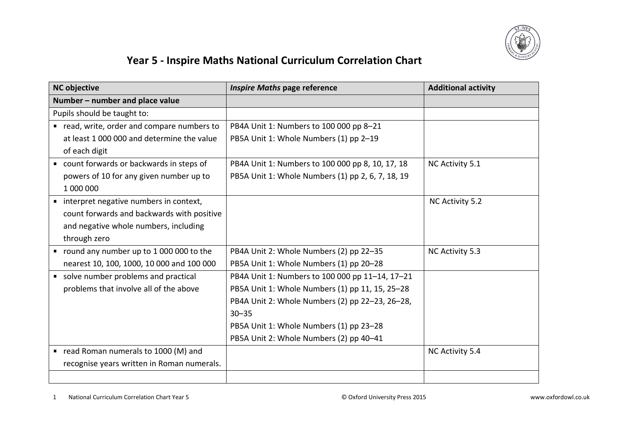

## **Year 5 - Inspire Maths National Curriculum Correlation Chart**

| <b>NC objective</b>                                       | <b>Inspire Maths page reference</b>               | <b>Additional activity</b> |
|-----------------------------------------------------------|---------------------------------------------------|----------------------------|
| Number – number and place value                           |                                                   |                            |
| Pupils should be taught to:                               |                                                   |                            |
| read, write, order and compare numbers to                 | PB4A Unit 1: Numbers to 100 000 pp 8-21           |                            |
| at least 1,000,000 and determine the value                | PB5A Unit 1: Whole Numbers (1) pp 2-19            |                            |
| of each digit                                             |                                                   |                            |
| count forwards or backwards in steps of<br>$\blacksquare$ | PB4A Unit 1: Numbers to 100 000 pp 8, 10, 17, 18  | NC Activity 5.1            |
| powers of 10 for any given number up to                   | PB5A Unit 1: Whole Numbers (1) pp 2, 6, 7, 18, 19 |                            |
| 1 000 000                                                 |                                                   |                            |
| • interpret negative numbers in context,                  |                                                   | NC Activity 5.2            |
| count forwards and backwards with positive                |                                                   |                            |
| and negative whole numbers, including                     |                                                   |                            |
| through zero                                              |                                                   |                            |
| " round any number up to 1 000 000 to the                 | PB4A Unit 2: Whole Numbers (2) pp 22-35           | NC Activity 5.3            |
| nearest 10, 100, 1000, 10 000 and 100 000                 | PB5A Unit 1: Whole Numbers (1) pp 20-28           |                            |
| solve number problems and practical<br>٠                  | PB4A Unit 1: Numbers to 100 000 pp 11-14, 17-21   |                            |
| problems that involve all of the above                    | PB5A Unit 1: Whole Numbers (1) pp 11, 15, 25-28   |                            |
|                                                           | PB4A Unit 2: Whole Numbers (2) pp 22-23, 26-28,   |                            |
|                                                           | $30 - 35$                                         |                            |
|                                                           | PB5A Unit 1: Whole Numbers (1) pp 23-28           |                            |
|                                                           | PB5A Unit 2: Whole Numbers (2) pp 40-41           |                            |
| ■ read Roman numerals to 1000 (M) and                     |                                                   | NC Activity 5.4            |
| recognise years written in Roman numerals.                |                                                   |                            |
|                                                           |                                                   |                            |

1 National Curriculum Correlation Chart Year 5 © Oxford University Press 2015 www.oxfordowl.co.uk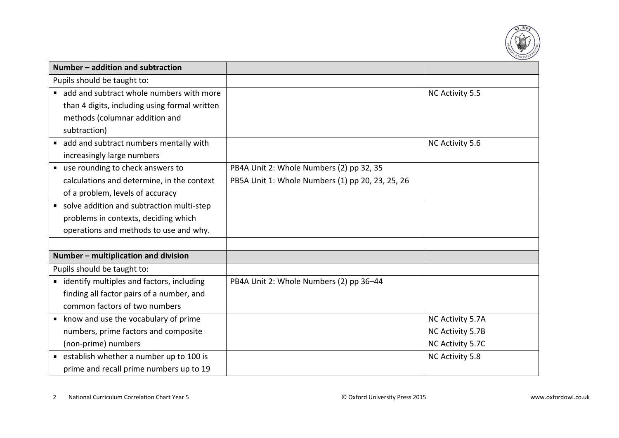

| Number - addition and subtraction             |                                                  |                  |
|-----------------------------------------------|--------------------------------------------------|------------------|
| Pupils should be taught to:                   |                                                  |                  |
| add and subtract whole numbers with more      |                                                  | NC Activity 5.5  |
| than 4 digits, including using formal written |                                                  |                  |
| methods (columnar addition and                |                                                  |                  |
| subtraction)                                  |                                                  |                  |
| add and subtract numbers mentally with        |                                                  | NC Activity 5.6  |
| increasingly large numbers                    |                                                  |                  |
| ■ use rounding to check answers to            | PB4A Unit 2: Whole Numbers (2) pp 32, 35         |                  |
| calculations and determine, in the context    | PB5A Unit 1: Whole Numbers (1) pp 20, 23, 25, 26 |                  |
| of a problem, levels of accuracy              |                                                  |                  |
| solve addition and subtraction multi-step     |                                                  |                  |
| problems in contexts, deciding which          |                                                  |                  |
| operations and methods to use and why.        |                                                  |                  |
|                                               |                                                  |                  |
| Number – multiplication and division          |                                                  |                  |
| Pupils should be taught to:                   |                                                  |                  |
| • identify multiples and factors, including   | PB4A Unit 2: Whole Numbers (2) pp 36-44          |                  |
| finding all factor pairs of a number, and     |                                                  |                  |
| common factors of two numbers                 |                                                  |                  |
| ■ know and use the vocabulary of prime        |                                                  | NC Activity 5.7A |
| numbers, prime factors and composite          |                                                  | NC Activity 5.7B |
| (non-prime) numbers                           |                                                  | NC Activity 5.7C |
| ■ establish whether a number up to 100 is     |                                                  | NC Activity 5.8  |
| prime and recall prime numbers up to 19       |                                                  |                  |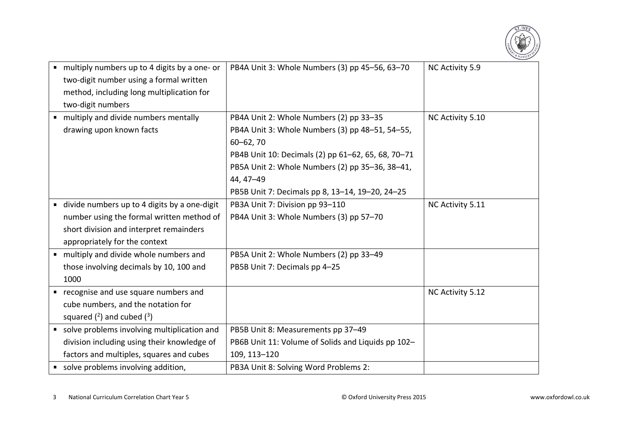

|                | multiply numbers up to 4 digits by a one- or  | PB4A Unit 3: Whole Numbers (3) pp 45-56, 63-70     | NC Activity 5.9  |
|----------------|-----------------------------------------------|----------------------------------------------------|------------------|
|                | two-digit number using a formal written       |                                                    |                  |
|                | method, including long multiplication for     |                                                    |                  |
|                | two-digit numbers                             |                                                    |                  |
|                | " multiply and divide numbers mentally        | PB4A Unit 2: Whole Numbers (2) pp 33-35            | NC Activity 5.10 |
|                | drawing upon known facts                      | PB4A Unit 3: Whole Numbers (3) pp 48-51, 54-55,    |                  |
|                |                                               | $60 - 62, 70$                                      |                  |
|                |                                               | PB4B Unit 10: Decimals (2) pp 61-62, 65, 68, 70-71 |                  |
|                |                                               | PB5A Unit 2: Whole Numbers (2) pp 35-36, 38-41,    |                  |
|                |                                               | 44, 47-49                                          |                  |
|                |                                               | PB5B Unit 7: Decimals pp 8, 13-14, 19-20, 24-25    |                  |
| $\blacksquare$ | divide numbers up to 4 digits by a one-digit  | PB3A Unit 7: Division pp 93-110                    | NC Activity 5.11 |
|                | number using the formal written method of     | PB4A Unit 3: Whole Numbers (3) pp 57-70            |                  |
|                | short division and interpret remainders       |                                                    |                  |
|                | appropriately for the context                 |                                                    |                  |
|                | multiply and divide whole numbers and         | PB5A Unit 2: Whole Numbers (2) pp 33-49            |                  |
|                | those involving decimals by 10, 100 and       | PB5B Unit 7: Decimals pp 4-25                      |                  |
|                | 1000                                          |                                                    |                  |
|                | recognise and use square numbers and          |                                                    | NC Activity 5.12 |
|                | cube numbers, and the notation for            |                                                    |                  |
|                | squared $(2)$ and cubed $(3)$                 |                                                    |                  |
|                | " solve problems involving multiplication and | PB5B Unit 8: Measurements pp 37-49                 |                  |
|                | division including using their knowledge of   | PB6B Unit 11: Volume of Solids and Liquids pp 102- |                  |
|                | factors and multiples, squares and cubes      | 109, 113-120                                       |                  |
|                | solve problems involving addition,            | PB3A Unit 8: Solving Word Problems 2:              |                  |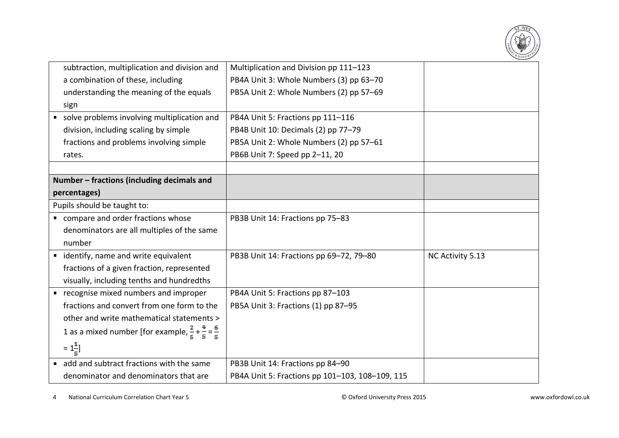

| Multiplication and Division pp 111-123          |                  |
|-------------------------------------------------|------------------|
| PB4A Unit 3: Whole Numbers (3) pp 63-70         |                  |
| PB5A Unit 2: Whole Numbers (2) pp 57-69         |                  |
|                                                 |                  |
| PB4A Unit 5: Fractions pp 111-116               |                  |
| PB4B Unit 10: Decimals (2) pp 77-79             |                  |
| PB5A Unit 2: Whole Numbers (2) pp 57-61         |                  |
| PB6B Unit 7: Speed pp 2-11, 20                  |                  |
|                                                 |                  |
|                                                 |                  |
|                                                 |                  |
|                                                 |                  |
| PB3B Unit 14: Fractions pp 75-83                |                  |
|                                                 |                  |
|                                                 |                  |
| PB3B Unit 14: Fractions pp 69-72, 79-80         | NC Activity 5.13 |
|                                                 |                  |
|                                                 |                  |
| PB4A Unit 5: Fractions pp 87-103                |                  |
| PB5A Unit 3: Fractions (1) pp 87-95             |                  |
|                                                 |                  |
|                                                 |                  |
|                                                 |                  |
| PB3B Unit 14: Fractions pp 84-90                |                  |
| PB4A Unit 5: Fractions pp 101-103, 108-109, 115 |                  |
|                                                 |                  |

4 National Curriculum Correlation Chart Year 5 © Oxford University Press 2015 www.oxfordowl.co.uk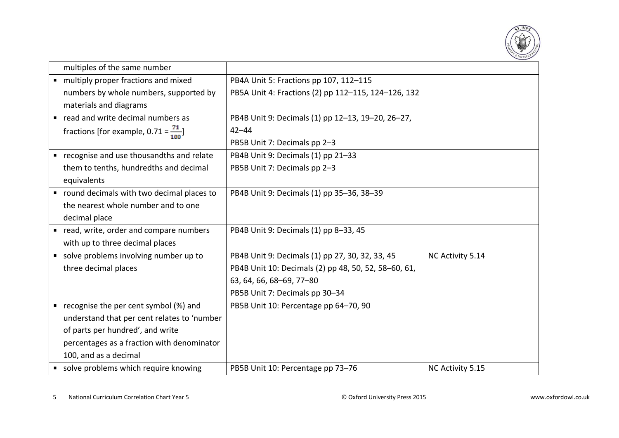

|                | multiples of the same number                      |                                                      |                  |
|----------------|---------------------------------------------------|------------------------------------------------------|------------------|
|                | " multiply proper fractions and mixed             | PB4A Unit 5: Fractions pp 107, 112-115               |                  |
|                | numbers by whole numbers, supported by            | PB5A Unit 4: Fractions (2) pp 112-115, 124-126, 132  |                  |
|                | materials and diagrams                            |                                                      |                  |
|                | read and write decimal numbers as                 | PB4B Unit 9: Decimals (1) pp 12-13, 19-20, 26-27,    |                  |
|                | fractions [for example, $0.71 = \frac{71}{100}$ ] | $42 - 44$                                            |                  |
|                |                                                   | PB5B Unit 7: Decimals pp 2-3                         |                  |
| ٠              | recognise and use thousandths and relate          | PB4B Unit 9: Decimals (1) pp 21-33                   |                  |
|                | them to tenths, hundredths and decimal            | PB5B Unit 7: Decimals pp 2-3                         |                  |
|                | equivalents                                       |                                                      |                  |
|                | " round decimals with two decimal places to       | PB4B Unit 9: Decimals (1) pp 35-36, 38-39            |                  |
|                | the nearest whole number and to one               |                                                      |                  |
|                | decimal place                                     |                                                      |                  |
| $\blacksquare$ | read, write, order and compare numbers            | PB4B Unit 9: Decimals (1) pp 8-33, 45                |                  |
|                | with up to three decimal places                   |                                                      |                  |
|                | solve problems involving number up to             | PB4B Unit 9: Decimals (1) pp 27, 30, 32, 33, 45      | NC Activity 5.14 |
|                | three decimal places                              | PB4B Unit 10: Decimals (2) pp 48, 50, 52, 58-60, 61, |                  |
|                |                                                   | 63, 64, 66, 68-69, 77-80                             |                  |
|                |                                                   | PB5B Unit 7: Decimals pp 30-34                       |                  |
| ٠              | recognise the per cent symbol (%) and             | PB5B Unit 10: Percentage pp 64-70, 90                |                  |
|                | understand that per cent relates to 'number       |                                                      |                  |
|                | of parts per hundred', and write                  |                                                      |                  |
|                | percentages as a fraction with denominator        |                                                      |                  |
|                | 100, and as a decimal                             |                                                      |                  |
|                | solve problems which require knowing              | PB5B Unit 10: Percentage pp 73-76                    | NC Activity 5.15 |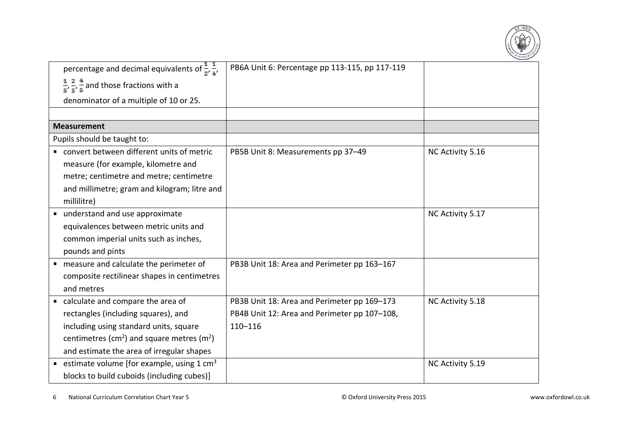

| percentage and decimal equivalents of $\frac{1}{2}$ , $\frac{1}{4}$ , | PB6A Unit 6: Percentage pp 113-115, pp 117-119 |                  |
|-----------------------------------------------------------------------|------------------------------------------------|------------------|
| $\frac{1}{5}, \frac{2}{5}, \frac{4}{5}$ and those fractions with a    |                                                |                  |
| denominator of a multiple of 10 or 25.                                |                                                |                  |
|                                                                       |                                                |                  |
| <b>Measurement</b>                                                    |                                                |                  |
| Pupils should be taught to:                                           |                                                |                  |
| convert between different units of metric                             | PB5B Unit 8: Measurements pp 37-49             | NC Activity 5.16 |
| measure (for example, kilometre and                                   |                                                |                  |
| metre; centimetre and metre; centimetre                               |                                                |                  |
| and millimetre; gram and kilogram; litre and                          |                                                |                  |
| millilitre)                                                           |                                                |                  |
| understand and use approximate                                        |                                                | NC Activity 5.17 |
| equivalences between metric units and                                 |                                                |                  |
| common imperial units such as inches,                                 |                                                |                  |
| pounds and pints                                                      |                                                |                  |
| ■ measure and calculate the perimeter of                              | PB3B Unit 18: Area and Perimeter pp 163-167    |                  |
| composite rectilinear shapes in centimetres                           |                                                |                  |
| and metres                                                            |                                                |                  |
| calculate and compare the area of                                     | PB3B Unit 18: Area and Perimeter pp 169-173    | NC Activity 5.18 |
| rectangles (including squares), and                                   | PB4B Unit 12: Area and Perimeter pp 107-108,   |                  |
| including using standard units, square                                | $110 - 116$                                    |                  |
| centimetres (cm <sup>2</sup> ) and square metres (m <sup>2</sup> )    |                                                |                  |
| and estimate the area of irregular shapes                             |                                                |                  |
| estimate volume [for example, using 1 cm <sup>3</sup>                 |                                                | NC Activity 5.19 |
| blocks to build cuboids (including cubes)]                            |                                                |                  |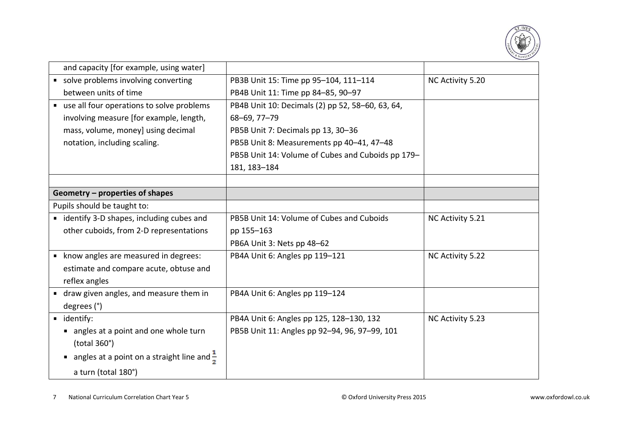

| and capacity [for example, using water]                |                                                   |                  |
|--------------------------------------------------------|---------------------------------------------------|------------------|
| solve problems involving converting                    | PB3B Unit 15: Time pp 95-104, 111-114             | NC Activity 5.20 |
| between units of time                                  | PB4B Unit 11: Time pp 84-85, 90-97                |                  |
| use all four operations to solve problems              | PB4B Unit 10: Decimals (2) pp 52, 58-60, 63, 64,  |                  |
| involving measure [for example, length,                | 68-69, 77-79                                      |                  |
| mass, volume, money] using decimal                     | PB5B Unit 7: Decimals pp 13, 30-36                |                  |
| notation, including scaling.                           | PB5B Unit 8: Measurements pp 40-41, 47-48         |                  |
|                                                        | PB5B Unit 14: Volume of Cubes and Cuboids pp 179- |                  |
|                                                        | 181, 183-184                                      |                  |
|                                                        |                                                   |                  |
| Geometry - properties of shapes                        |                                                   |                  |
| Pupils should be taught to:                            |                                                   |                  |
| " identify 3-D shapes, including cubes and             | PB5B Unit 14: Volume of Cubes and Cuboids         | NC Activity 5.21 |
| other cuboids, from 2-D representations                | pp 155-163                                        |                  |
|                                                        | PB6A Unit 3: Nets pp 48-62                        |                  |
| • know angles are measured in degrees:                 | PB4A Unit 6: Angles pp 119-121                    | NC Activity 5.22 |
| estimate and compare acute, obtuse and                 |                                                   |                  |
| reflex angles                                          |                                                   |                  |
| " draw given angles, and measure them in               | PB4A Unit 6: Angles pp 119-124                    |                  |
| degrees (°)                                            |                                                   |                  |
| uidentify:                                             | PB4A Unit 6: Angles pp 125, 128-130, 132          | NC Activity 5.23 |
| angles at a point and one whole turn                   | PB5B Unit 11: Angles pp 92-94, 96, 97-99, 101     |                  |
| (total 360°)                                           |                                                   |                  |
| angles at a point on a straight line and $\frac{1}{2}$ |                                                   |                  |
| a turn (total 180°)                                    |                                                   |                  |